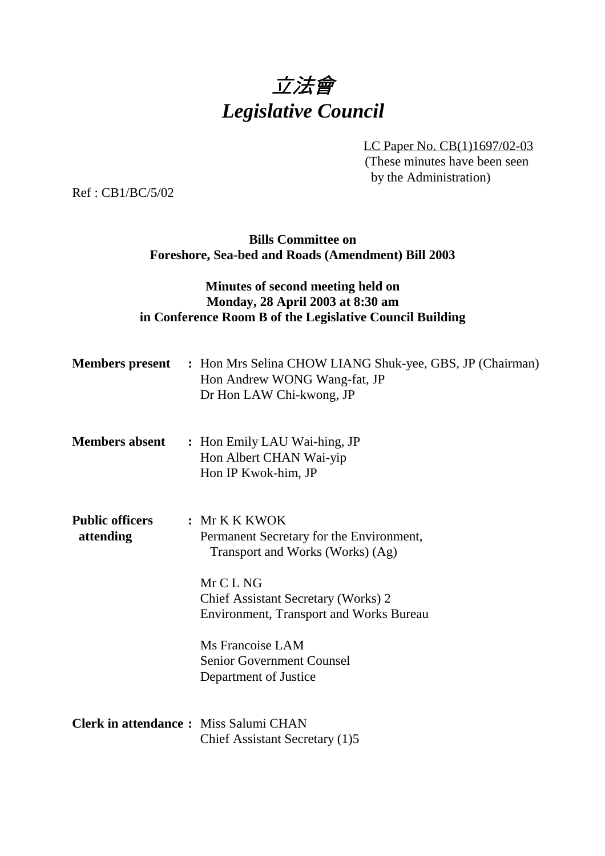

LC Paper No. CB(1)1697/02-03 (These minutes have been seen by the Administration)

Ref : CB1/BC/5/02

# **Bills Committee on Foreshore, Sea-bed and Roads (Amendment) Bill 2003**

# **Minutes of second meeting held on Monday, 28 April 2003 at 8:30 am in Conference Room B of the Legislative Council Building**

|                                              | <b>Members present</b> : Hon Mrs Selina CHOW LIANG Shuk-yee, GBS, JP (Chairman)<br>Hon Andrew WONG Wang-fat, JP<br>Dr Hon LAW Chi-kwong, JP                                                                                                                                           |
|----------------------------------------------|---------------------------------------------------------------------------------------------------------------------------------------------------------------------------------------------------------------------------------------------------------------------------------------|
| <b>Members absent</b>                        | : Hon Emily LAU Wai-hing, JP<br>Hon Albert CHAN Wai-yip<br>Hon IP Kwok-him, JP                                                                                                                                                                                                        |
| <b>Public officers</b><br>attending          | : Mr K K K WOK<br>Permanent Secretary for the Environment,<br>Transport and Works (Works) (Ag)<br>Mr C L NG<br>Chief Assistant Secretary (Works) 2<br><b>Environment, Transport and Works Bureau</b><br>Ms Francoise LAM<br><b>Senior Government Counsel</b><br>Department of Justice |
| <b>Clerk in attendance:</b> Miss Salumi CHAN | Chief Assistant Secretary (1)5                                                                                                                                                                                                                                                        |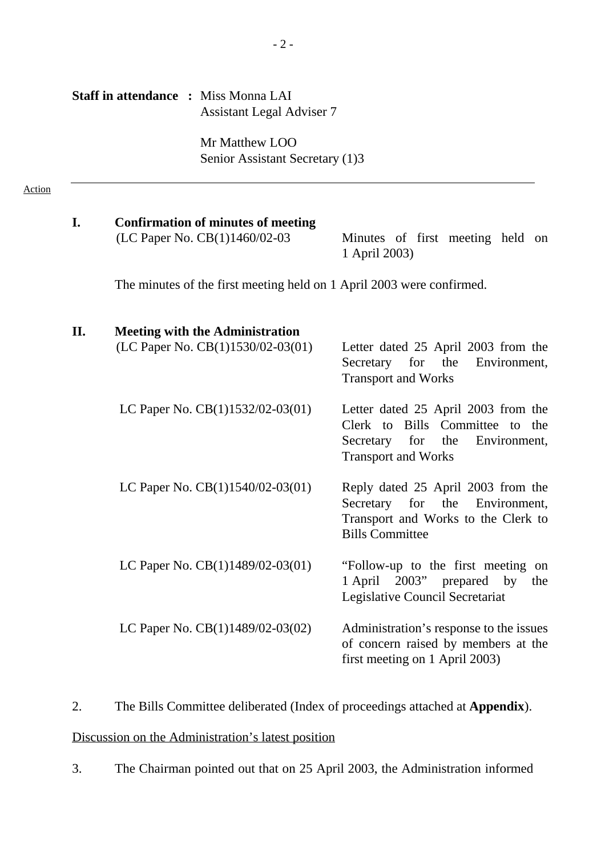| <b>Staff in attendance : Miss Monna LAI</b> |  |                                  |  |
|---------------------------------------------|--|----------------------------------|--|
|                                             |  | <b>Assistant Legal Adviser 7</b> |  |

Mr Matthew LOO Senior Assistant Secretary (1)3

#### Action

| I.  | <b>Confirmation of minutes of meeting</b><br>(LC Paper No. CB(1)1460/02-03 - Minutes of first meeting held on | 1 April 2003)                                                                                   |
|-----|---------------------------------------------------------------------------------------------------------------|-------------------------------------------------------------------------------------------------|
|     | The minutes of the first meeting held on 1 April 2003 were confirmed.                                         |                                                                                                 |
| II. | <b>Meeting with the Administration</b>                                                                        |                                                                                                 |
|     | (LC Paper No. CB $(1)1530/02-03(01)$ — Letter dated 25 April 2003 from the                                    | Secretary for the Environment,<br><b>Transport and Works</b>                                    |
|     | LC Paper No. $CB(1)1532/02-03(01)$ — Letter dated 25 April 2003 from the                                      | Clerk to Bills Committee to the<br>Secretary for the Environment,<br><b>Transport and Works</b> |
|     | LC Paper No. $CB(1)1540/02-03(01)$ — Reply dated 25 April 2003 from the                                       | Secretary for the Environment,<br>Transport and Works to the Clerk to<br><b>Bills Committee</b> |
|     | LC Paper No. $CB(1)1489/02-03(01)$ — "Follow-up to the first meeting on                                       | 1 April 2003" prepared by<br>the<br>Legislative Council Secretariat                             |
|     | LC Paper No. $CB(1)1489/02-03(02)$ — Administration's response to the issues                                  | of concern raised by members at the<br>first meeting on 1 April 2003)                           |

2. The Bills Committee deliberated (Index of proceedings attached at **Appendix**).

Discussion on the Administration's latest position

3. The Chairman pointed out that on 25 April 2003, the Administration informed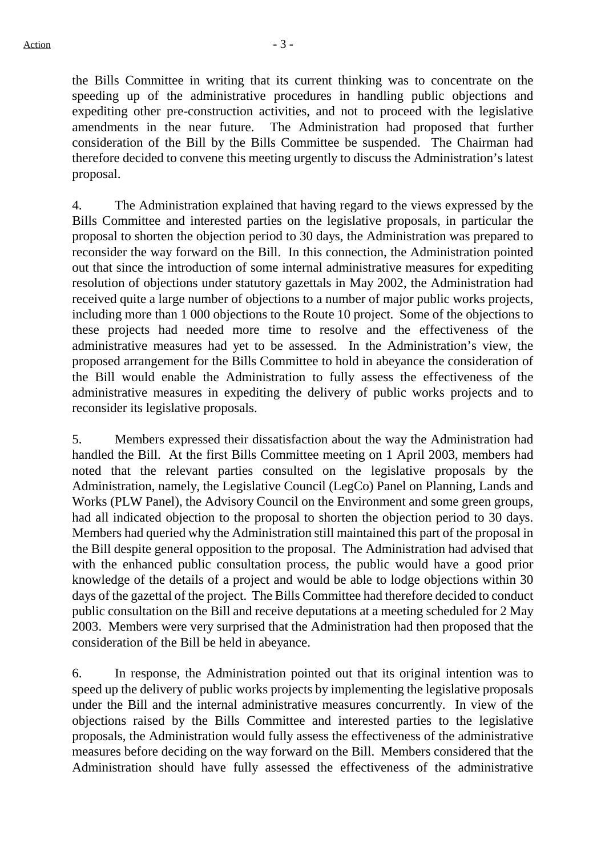the Bills Committee in writing that its current thinking was to concentrate on the speeding up of the administrative procedures in handling public objections and expediting other pre-construction activities, and not to proceed with the legislative amendments in the near future. The Administration had proposed that further consideration of the Bill by the Bills Committee be suspended. The Chairman had therefore decided to convene this meeting urgently to discuss the Administration's latest proposal.

4. The Administration explained that having regard to the views expressed by the Bills Committee and interested parties on the legislative proposals, in particular the proposal to shorten the objection period to 30 days, the Administration was prepared to reconsider the way forward on the Bill. In this connection, the Administration pointed out that since the introduction of some internal administrative measures for expediting resolution of objections under statutory gazettals in May 2002, the Administration had received quite a large number of objections to a number of major public works projects, including more than 1 000 objections to the Route 10 project. Some of the objections to these projects had needed more time to resolve and the effectiveness of the administrative measures had yet to be assessed. In the Administration's view, the proposed arrangement for the Bills Committee to hold in abeyance the consideration of the Bill would enable the Administration to fully assess the effectiveness of the administrative measures in expediting the delivery of public works projects and to reconsider its legislative proposals.

5. Members expressed their dissatisfaction about the way the Administration had handled the Bill. At the first Bills Committee meeting on 1 April 2003, members had noted that the relevant parties consulted on the legislative proposals by the Administration, namely, the Legislative Council (LegCo) Panel on Planning, Lands and Works (PLW Panel), the Advisory Council on the Environment and some green groups, had all indicated objection to the proposal to shorten the objection period to 30 days. Members had queried why the Administration still maintained this part of the proposal in the Bill despite general opposition to the proposal. The Administration had advised that with the enhanced public consultation process, the public would have a good prior knowledge of the details of a project and would be able to lodge objections within 30 days of the gazettal of the project. The Bills Committee had therefore decided to conduct public consultation on the Bill and receive deputations at a meeting scheduled for 2 May 2003. Members were very surprised that the Administration had then proposed that the consideration of the Bill be held in abeyance.

6. In response, the Administration pointed out that its original intention was to speed up the delivery of public works projects by implementing the legislative proposals under the Bill and the internal administrative measures concurrently. In view of the objections raised by the Bills Committee and interested parties to the legislative proposals, the Administration would fully assess the effectiveness of the administrative measures before deciding on the way forward on the Bill. Members considered that the Administration should have fully assessed the effectiveness of the administrative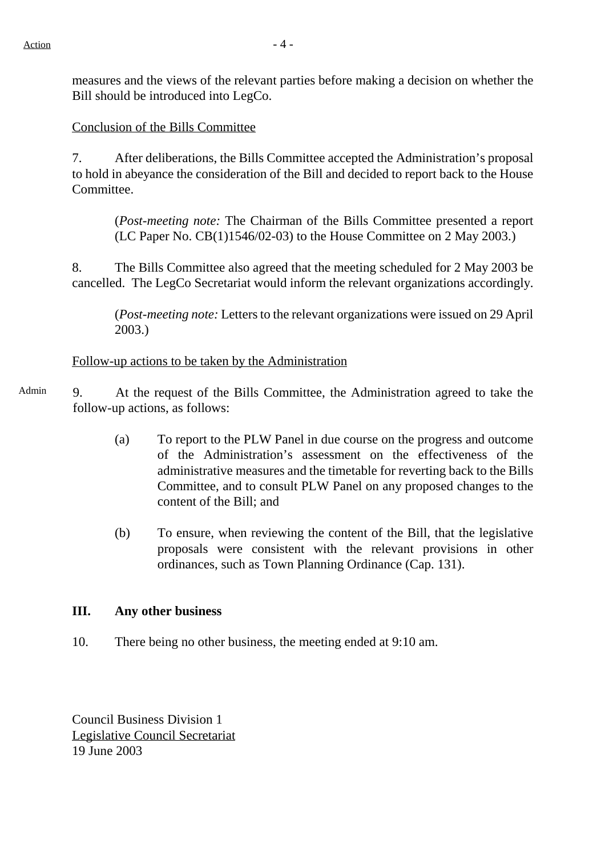measures and the views of the relevant parties before making a decision on whether the Bill should be introduced into LegCo.

### Conclusion of the Bills Committee

7. After deliberations, the Bills Committee accepted the Administration's proposal to hold in abeyance the consideration of the Bill and decided to report back to the House Committee.

(*Post-meeting note:* The Chairman of the Bills Committee presented a report (LC Paper No. CB(1)1546/02-03) to the House Committee on 2 May 2003.)

8. The Bills Committee also agreed that the meeting scheduled for 2 May 2003 be cancelled. The LegCo Secretariat would inform the relevant organizations accordingly.

(*Post-meeting note:* Letters to the relevant organizations were issued on 29 April 2003.)

#### Follow-up actions to be taken by the Administration

- Admin 9. At the request of the Bills Committee, the Administration agreed to take the follow-up actions, as follows:
	- (a) To report to the PLW Panel in due course on the progress and outcome of the Administration's assessment on the effectiveness of the administrative measures and the timetable for reverting back to the Bills Committee, and to consult PLW Panel on any proposed changes to the content of the Bill; and
	- (b) To ensure, when reviewing the content of the Bill, that the legislative proposals were consistent with the relevant provisions in other ordinances, such as Town Planning Ordinance (Cap. 131).

#### **III. Any other business**

10. There being no other business, the meeting ended at 9:10 am.

Council Business Division 1 Legislative Council Secretariat 19 June 2003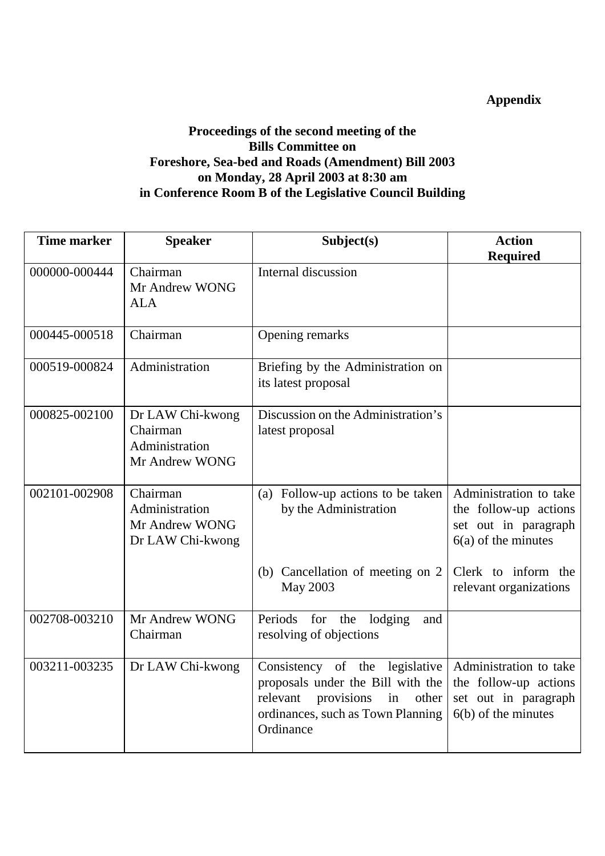# **Appendix**

# **Proceedings of the second meeting of the Bills Committee on Foreshore, Sea-bed and Roads (Amendment) Bill 2003 on Monday, 28 April 2003 at 8:30 am in Conference Room B of the Legislative Council Building**

| <b>Time marker</b> | <b>Speaker</b>                                                   | Subject(s)                                                                                                                                                     | <b>Action</b>                                                                                    |
|--------------------|------------------------------------------------------------------|----------------------------------------------------------------------------------------------------------------------------------------------------------------|--------------------------------------------------------------------------------------------------|
|                    |                                                                  |                                                                                                                                                                | <b>Required</b>                                                                                  |
| 000000-000444      | Chairman<br>Mr Andrew WONG<br><b>ALA</b>                         | Internal discussion                                                                                                                                            |                                                                                                  |
| 000445-000518      | Chairman                                                         | Opening remarks                                                                                                                                                |                                                                                                  |
| 000519-000824      | Administration                                                   | Briefing by the Administration on<br>its latest proposal                                                                                                       |                                                                                                  |
| 000825-002100      | Dr LAW Chi-kwong<br>Chairman<br>Administration<br>Mr Andrew WONG | Discussion on the Administration's<br>latest proposal                                                                                                          |                                                                                                  |
| 002101-002908      | Chairman<br>Administration<br>Mr Andrew WONG<br>Dr LAW Chi-kwong | (a) Follow-up actions to be taken<br>by the Administration                                                                                                     | Administration to take<br>the follow-up actions<br>set out in paragraph<br>$6(a)$ of the minutes |
|                    |                                                                  | (b) Cancellation of meeting on 2<br>May 2003                                                                                                                   | Clerk to inform the<br>relevant organizations                                                    |
| 002708-003210      | Mr Andrew WONG<br>Chairman                                       | Periods<br>for the<br>lodging<br>and<br>resolving of objections                                                                                                |                                                                                                  |
| 003211-003235      | Dr LAW Chi-kwong                                                 | Consistency of the legislative<br>proposals under the Bill with the<br>relevant<br>provisions<br>in<br>other<br>ordinances, such as Town Planning<br>Ordinance | Administration to take<br>the follow-up actions<br>set out in paragraph<br>$6(b)$ of the minutes |